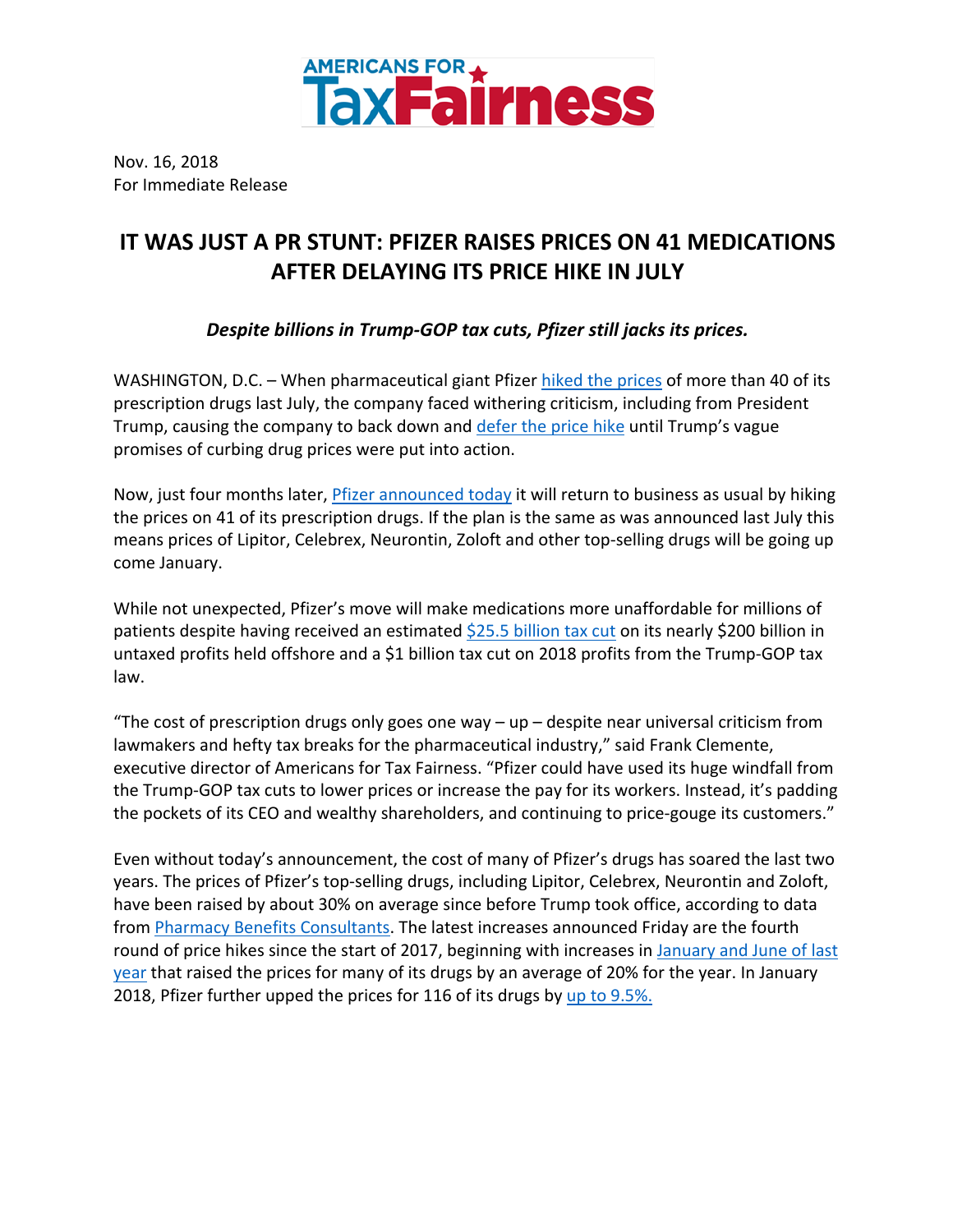

Nov. 16, 2018 For Immediate Release

## **IT WAS JUST A PR STUNT: PFIZER RAISES PRICES ON 41 MEDICATIONS AFTER DELAYING ITS PRICE HIKE IN JULY**

## *Despite billions in Trump-GOP tax cuts, Pfizer still jacks its prices.*

WASHINGTON, D.C. – When pharmaceutical giant Pfizer hiked the prices of more than 40 of its prescription drugs last July, the company faced withering criticism, including from President Trump, causing the company to back down and defer the price hike until Trump's vague promises of curbing drug prices were put into action.

Now, just four months later, Pfizer announced today it will return to business as usual by hiking the prices on 41 of its prescription drugs. If the plan is the same as was announced last July this means prices of Lipitor, Celebrex, Neurontin, Zoloft and other top-selling drugs will be going up come January.

While not unexpected, Pfizer's move will make medications more unaffordable for millions of patients despite having received an estimated \$25.5 billion tax cut on its nearly \$200 billion in untaxed profits held offshore and a \$1 billion tax cut on 2018 profits from the Trump-GOP tax law.

"The cost of prescription drugs only goes one way  $-$  up  $-$  despite near universal criticism from lawmakers and hefty tax breaks for the pharmaceutical industry," said Frank Clemente, executive director of Americans for Tax Fairness. "Pfizer could have used its huge windfall from the Trump-GOP tax cuts to lower prices or increase the pay for its workers. Instead, it's padding the pockets of its CEO and wealthy shareholders, and continuing to price-gouge its customers."

Even without today's announcement, the cost of many of Pfizer's drugs has soared the last two years. The prices of Pfizer's top-selling drugs, including Lipitor, Celebrex, Neurontin and Zoloft, have been raised by about 30% on average since before Trump took office, according to data from Pharmacy Benefits Consultants. The latest increases announced Friday are the fourth round of price hikes since the start of 2017, beginning with increases in January and June of last year that raised the prices for many of its drugs by an average of 20% for the year. In January 2018, Pfizer further upped the prices for 116 of its drugs by up to 9.5%.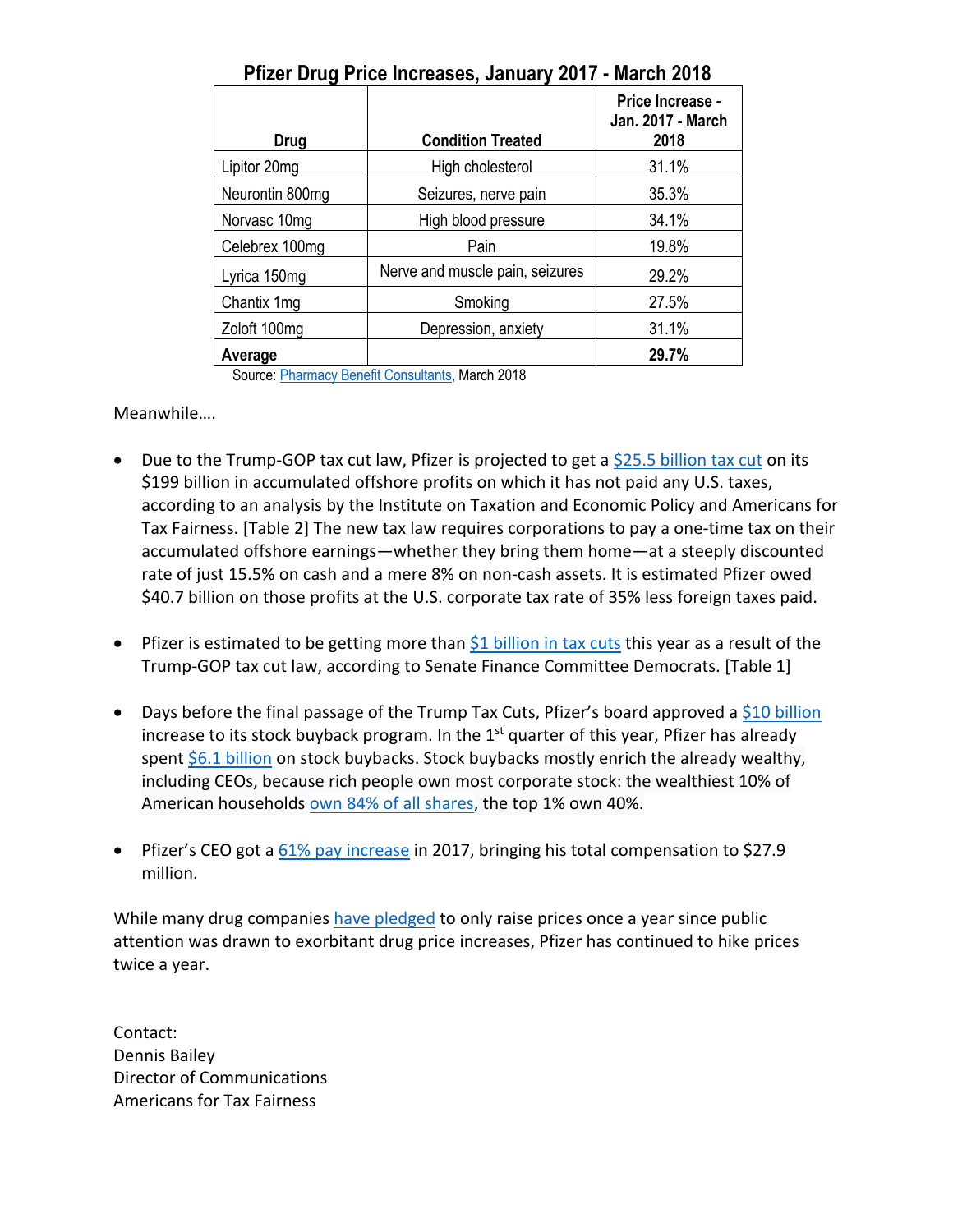| Drug                                       | <b>Condition Treated</b>                     | Price Increase -<br>Jan. 2017 - March<br>2018 |
|--------------------------------------------|----------------------------------------------|-----------------------------------------------|
| Lipitor 20mg                               | High cholesterol                             | 31.1%                                         |
| Neurontin 800mg                            | Seizures, nerve pain                         | 35.3%                                         |
| Norvasc 10mg                               | High blood pressure                          | 34.1%                                         |
| Celebrex 100mg                             | Pain                                         | 19.8%                                         |
| Lyrica 150mg                               | Nerve and muscle pain, seizures              | 29.2%                                         |
| Chantix 1mg                                | Smoking                                      | 27.5%                                         |
| Zoloft 100mg                               | Depression, anxiety                          | 31.1%                                         |
| Average<br>$\mathsf{A}$ $\mathsf{B}$<br>n. | $\sim$ CLO $\sim$ H $\sim$ L M $\sim$ L 0040 | 29.7%                                         |

**Pfizer Drug Price Increases, January 2017 - March 2018**

Source: Pharmacy Benefit Consultants, March 2018

Meanwhile….

- Due to the Trump-GOP tax cut law, Pfizer is projected to get a \$25.5 billion tax cut on its \$199 billion in accumulated offshore profits on which it has not paid any U.S. taxes, according to an analysis by the Institute on Taxation and Economic Policy and Americans for Tax Fairness. [Table 2] The new tax law requires corporations to pay a one-time tax on their accumulated offshore earnings—whether they bring them home—at a steeply discounted rate of just 15.5% on cash and a mere 8% on non-cash assets. It is estimated Pfizer owed \$40.7 billion on those profits at the U.S. corporate tax rate of 35% less foreign taxes paid.
- Pfizer is estimated to be getting more than \$1 billion in tax cuts this year as a result of the Trump-GOP tax cut law, according to Senate Finance Committee Democrats. [Table 1]
- Days before the final passage of the Trump Tax Cuts, Pfizer's board approved a \$10 billion increase to its stock buyback program. In the  $1<sup>st</sup>$  quarter of this year, Pfizer has already spent \$6.1 billion on stock buybacks. Stock buybacks mostly enrich the already wealthy, including CEOs, because rich people own most corporate stock: the wealthiest 10% of American households own 84% of all shares, the top 1% own 40%.
- Pfizer's CEO got a 61% pay increase in 2017, bringing his total compensation to \$27.9 million.

While many drug companies have pledged to only raise prices once a year since public attention was drawn to exorbitant drug price increases, Pfizer has continued to hike prices twice a year.

Contact: Dennis Bailey Director of Communications Americans for Tax Fairness